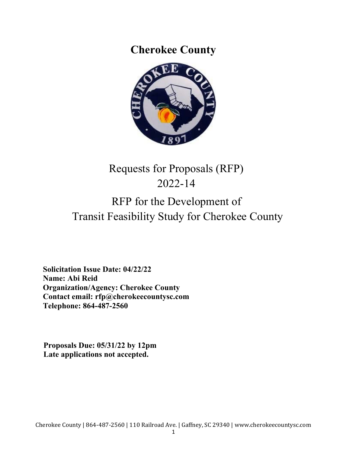**Cherokee County** 



# Requests for Proposals (RFP) 2022-14 RFP for the Development of Transit Feasibility Study for Cherokee County

 **Solicitation Issue Date: 04/22/22 Name: Abi Reid Organization/Agency: Cherokee County Contact email: rfp@cherokeecountysc.com Telephone: 864-487-2560** 

**Proposals Due: 05/31/22 by 12pm Late applications not accepted.**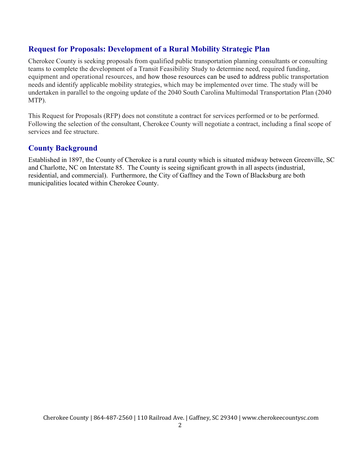# **Request for Proposals: Development of a Rural Mobility Strategic Plan**

Cherokee County is seeking proposals from qualified public transportation planning consultants or consulting teams to complete the development of a Transit Feasibility Study to determine need, required funding, equipment and operational resources, and how those resources can be used to address public transportation needs and identify applicable mobility strategies, which may be implemented over time. The study will be undertaken in parallel to the ongoing update of the 2040 South Carolina Multimodal Transportation Plan (2040 MTP).

This Request for Proposals (RFP) does not constitute a contract for services performed or to be performed. Following the selection of the consultant, Cherokee County will negotiate a contract, including a final scope of services and fee structure.

# **County Background**

Established in 1897, the County of Cherokee is a rural county which is situated midway between Greenville, SC and Charlotte, NC on Interstate 85. The County is seeing significant growth in all aspects (industrial, residential, and commercial). Furthermore, the City of Gaffney and the Town of Blacksburg are both municipalities located within Cherokee County.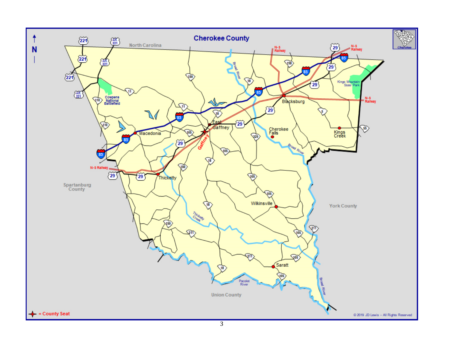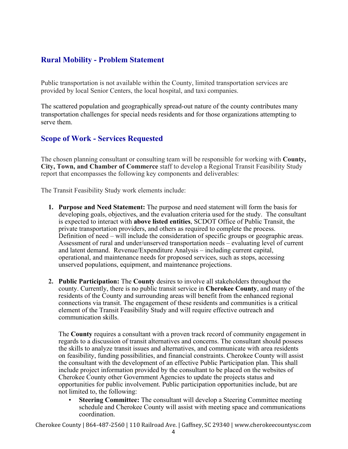# **Rural Mobility - Problem Statement**

Public transportation is not available within the County, limited transportation services are provided by local Senior Centers, the local hospital, and taxi companies.

The scattered population and geographically spread-out nature of the county contributes many transportation challenges for special needs residents and for those organizations attempting to serve them.

# **Scope of Work - Services Requested**

The chosen planning consultant or consulting team will be responsible for working with **County, City, Town, and Chamber of Commerce** staff to develop a Regional Transit Feasibility Study report that encompasses the following key components and deliverables:

The Transit Feasibility Study work elements include:

- **1. Purpose and Need Statement:** The purpose and need statement will form the basis for developing goals, objectives, and the evaluation criteria used for the study. The consultant is expected to interact with **above listed entities**, SCDOT Office of Public Transit, the private transportation providers, and others as required to complete the process. Definition of need – will include the consideration of specific groups or geographic areas. Assessment of rural and under/unserved transportation needs – evaluating level of current and latent demand. Revenue/Expenditure Analysis – including current capital, operational, and maintenance needs for proposed services, such as stops, accessing unserved populations, equipment, and maintenance projections.
- **2. Public Participation:** The **County** desires to involve all stakeholders throughout the county. Currently, there is no public transit service in **Cherokee County**, and many of the residents of the County and surrounding areas will benefit from the enhanced regional connections via transit. The engagement of these residents and communities is a critical element of the Transit Feasibility Study and will require effective outreach and communication skills.

The **County** requires a consultant with a proven track record of community engagement in regards to a discussion of transit alternatives and concerns. The consultant should possess the skills to analyze transit issues and alternatives, and communicate with area residents on feasibility, funding possibilities, and financial constraints. Cherokee County will assist the consultant with the development of an effective Public Participation plan. This shall include project information provided by the consultant to be placed on the websites of Cherokee County other Government Agencies to update the projects status and opportunities for public involvement. Public participation opportunities include, but are not limited to, the following:

• **Steering Committee:** The consultant will develop a Steering Committee meeting schedule and Cherokee County will assist with meeting space and communications coordination.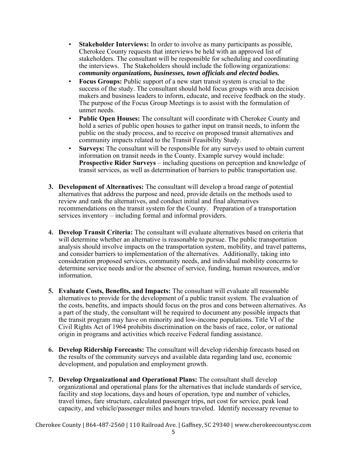- **Stakeholder Interviews:** In order to involve as many participants as possible, Cherokee County requests that interviews be held with an approved list of stakeholders. The consultant will be responsible for scheduling and coordinating the interviews. The Stakeholders should include the following organizations: *community organizations, businesses, town officials and elected bodies.*
- **Focus Groups:** Public support of a new start transit system is crucial to the success of the study. The consultant should hold focus groups with area decision makers and business leaders to inform, educate, and receive feedback on the study. The purpose of the Focus Group Meetings is to assist with the formulation of unmet needs.
- **Public Open Houses:** The consultant will coordinate with Cherokee County and hold a series of public open houses to gather input on transit needs, to inform the public on the study process, and to receive on proposed transit alternatives and community impacts related to the Transit Feasibility Study.
- **Surveys:** The consultant will be responsible for any surveys used to obtain current information on transit needs in the County. Example survey would include: **Prospective Rider Surveys** – including questions on perception and knowledge of transit services, as well as determination of barriers to public transportation use.
- **3. Development of Alternatives:** The consultant will develop a broad range of potential alternatives that address the purpose and need, provide details on the methods used to review and rank the alternatives, and conduct initial and final alternatives recommendations on the transit system for the County. Preparation of a transportation services inventory – including formal and informal providers.
- **4. Develop Transit Criteria:** The consultant will evaluate alternatives based on criteria that will determine whether an alternative is reasonable to pursue. The public transportation analysis should involve impacts on the transportation system, mobility, and travel patterns, and consider barriers to implementation of the alternatives. Additionally, taking into consideration proposed services, community needs, and individual mobility concerns to determine service needs and/or the absence of service, funding, human resources, and/or information.
- **5. Evaluate Costs, Benefits, and Impacts:** The consultant will evaluate all reasonable alternatives to provide for the development of a public transit system. The evaluation of the costs, benefits, and impacts should focus on the pros and cons between alternatives. As a part of the study, the consultant will be required to document any possible impacts that the transit program may have on minority and low-income populations. Title VI of the Civil Rights Act of 1964 prohibits discrimination on the basis of race, color, or national origin in programs and activities which receive Federal funding assistance.
- **6. Develop Ridership Forecasts:** The consultant will develop ridership forecasts based on the results of the community surveys and available data regarding land use, economic development, and population and employment growth.
- **7. Develop Organizational and Operational Plans:** The consultant shall develop organizational and operational plans for the alternatives that include standards of service, facility and stop locations, days and hours of operation, type and number of vehicles, travel times, fare structure, calculated passenger trips, net cost for service, peak load capacity, and vehicle/passenger miles and hours traveled. Identify necessary revenue to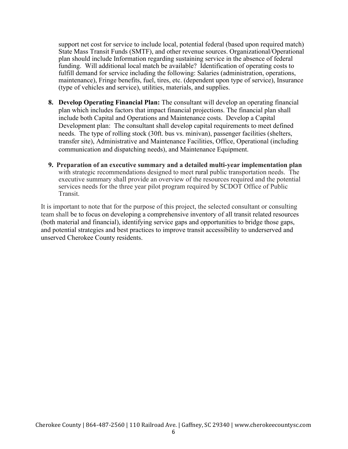support net cost for service to include local, potential federal (based upon required match) State Mass Transit Funds (SMTF), and other revenue sources. Organizational/Operational plan should include Information regarding sustaining service in the absence of federal funding. Will additional local match be available? Identification of operating costs to fulfill demand for service including the following: Salaries (administration, operations, maintenance), Fringe benefits, fuel, tires, etc. (dependent upon type of service), Insurance (type of vehicles and service), utilities, materials, and supplies.

- **8. Develop Operating Financial Plan:** The consultant will develop an operating financial plan which includes factors that impact financial projections. The financial plan shall include both Capital and Operations and Maintenance costs. Develop a Capital Development plan: The consultant shall develop capital requirements to meet defined needs. The type of rolling stock (30ft. bus vs. minivan), passenger facilities (shelters, transfer site), Administrative and Maintenance Facilities, Office, Operational (including communication and dispatching needs), and Maintenance Equipment.
- **9. Preparation of an executive summary and a detailed multi-year implementation plan**  with strategic recommendations designed to meet rural public transportation needs. The executive summary shall provide an overview of the resources required and the potential services needs for the three year pilot program required by SCDOT Office of Public Transit.

It is important to note that for the purpose of this project, the selected consultant or consulting team shall be to focus on developing a comprehensive inventory of all transit related resources (both material and financial), identifying service gaps and opportunities to bridge those gaps, and potential strategies and best practices to improve transit accessibility to underserved and unserved Cherokee County residents.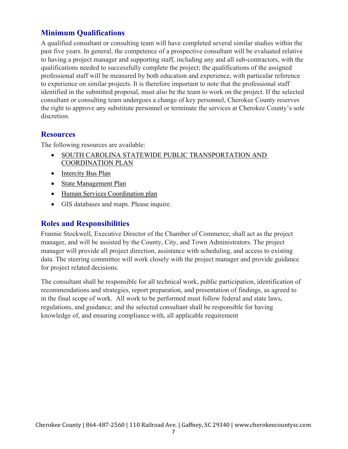# **Minimum Qualifications**

A qualified consultant or consulting team will have completed several similar studies within the past five years. In general, the competence of a prospective consultant will be evaluated relative to having a project manager and supporting staff, including any and all sub-contractors, with the qualifications needed to successfully complete the project; the qualifications of the assigned professional staff will be measured by both education and experience, with particular reference to experience on similar projects. It is therefore important to note that the professional staff identified in the submitted proposal, must also be the team to work on the project. If the selected consultant or consulting team undergoes a change of key personnel, Cherokee County reserves the right to approve any substitute personnel or terminate the services at Cherokee County's sole discretion.

## **Resources**

The following resources are available:

- **SOUTH CAROLINA STATEWIDE PUBLIC TRANSPORTATION AND** COORDINATION PLAN
- Intercity Bus Plan
- State Management Plan
- Human Services Coordination plan
- GIS databases and maps. Please inquire.

## **Roles and Responsibilities**

Frannie Stockwell, Executive Director of the Chamber of Commerce, shall act as the project manager, and will be assisted by the County, City, and Town Administrators. The project manager will provide all project direction, assistance with scheduling, and access to existing data. The steering committee will work closely with the project manager and provide guidance for project related decisions.

The consultant shall be responsible for all technical work, public participation, identification of recommendations and strategies, report preparation, and presentation of findings, as agreed to in the final scope of work. All work to be performed must follow federal and state laws, regulations, and guidance; and the selected consultant shall be responsible for having knowledge of, and ensuring compliance with, all applicable requirement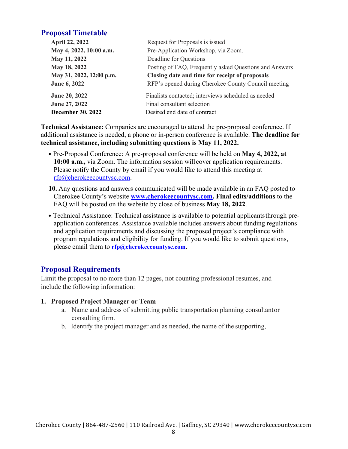# **Proposal Timetable**

| <b>April 22, 2022</b>    | Request for Proposals is issued                        |
|--------------------------|--------------------------------------------------------|
| May 4, 2022, 10:00 a.m.  | Pre-Application Workshop, via Zoom.                    |
| May 11, 2022             | Deadline for Questions                                 |
| May 18, 2022             | Posting of FAQ, Frequently asked Questions and Answers |
| May 31, 2022, 12:00 p.m. | Closing date and time for receipt of proposals         |
| June 6, 2022             | RFP's opened during Cherokee County Council meeting    |
| June 20, 2022            | Finalists contacted; interviews scheduled as needed    |
| June 27, 2022            | Final consultant selection                             |
| <b>December 30, 2022</b> | Desired end date of contract                           |
|                          |                                                        |

**Technical Assistance:** Companies are encouraged to attend the pre-proposal conference. If additional assistance is needed, a phone or in-person conference is available. **The deadline for technical assistance, including submitting questions is May 11, 2022.** 

- Pre-Proposal Conference: A pre-proposal conference will be held on **May 4, 2022, at 10:00 a.m.,** via Zoom. The information session will cover application requirements. Please notify the County by email if you would like to attend this meeting at rfp@cherokeecountysc.com.
- **10.** Any questions and answers communicated will be made available in an FAQ posted to Cherokee County's website **www.cherokeecountysc.com. Final edits/additions** to the FAQ will be posted on the website by close of business **May 18, 2022**.
- Technical Assistance: Technical assistance is available to potential applicants through preapplication conferences. Assistance available includes answers about funding regulations and application requirements and discussing the proposed project's compliance with program regulations and eligibility for funding. If you would like to submit questions, please email them to **rfp@cherokeecountysc.com.**

# **Proposal Requirements**

Limit the proposal to no more than 12 pages, not counting professional resumes, and include the following information:

## **1. Proposed Project Manager or Team**

- a. Name and address of submitting public transportation planning consultant or consulting firm.
- b. Identify the project manager and as needed, the name of the supporting,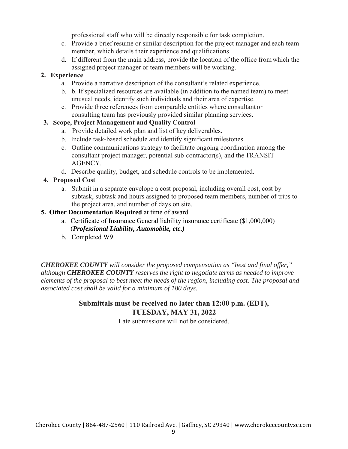professional staff who will be directly responsible for task completion.

- c. Provide a brief resume or similar description for the project manager and each team member, which details their experience and qualifications.
- d. If different from the main address, provide the location of the office from which the assigned project manager or team members will be working.

# **2. Experience**

- a. Provide a narrative description of the consultant's related experience.
- b. b. If specialized resources are available (in addition to the named team) to meet unusual needs, identify such individuals and their area of expertise.
- c. Provide three references from comparable entities where consultant or consulting team has previously provided similar planning services.

## **3. Scope, Project Management and Quality Control**

- a. Provide detailed work plan and list of key deliverables.
- b. Include task-based schedule and identify significant milestones.
- c. Outline communications strategy to facilitate ongoing coordination among the consultant project manager, potential sub-contractor(s), and the TRANSIT AGENCY.
- d. Describe quality, budget, and schedule controls to be implemented.

# **4. Proposed Cost**

a. Submit in a separate envelope a cost proposal, including overall cost, cost by subtask, subtask and hours assigned to proposed team members, number of trips to the project area, and number of days on site.

## **5. Other Documentation Required** at time of award

- a. Certificate of Insurance General liability insurance certificate (\$1,000,000) (*Professional Liability, Automobile, etc.)*
- b. Completed W9

*CHEROKEE COUNTY will consider the proposed compensation as "best and final offer," although CHEROKEE COUNTY reserves the right to negotiate terms as needed to improve elements of the proposal to best meet the needs of the region, including cost. The proposal and associated cost shall be valid for a minimum of 180 days.*

# **Submittals must be received no later than 12:00 p.m. (EDT), TUESDAY, MAY 31, 2022**

Late submissions will not be considered.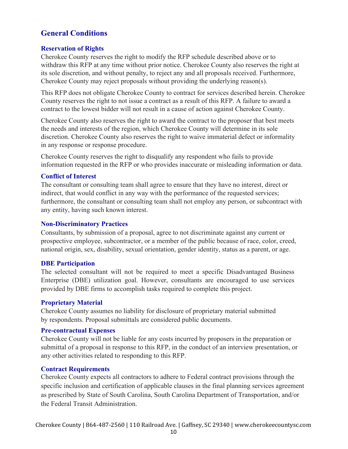# **General Conditions**

#### **Reservation of Rights**

Cherokee County reserves the right to modify the RFP schedule described above or to withdraw this RFP at any time without prior notice. Cherokee County also reserves the right at its sole discretion, and without penalty, to reject any and all proposals received. Furthermore, Cherokee County may reject proposals without providing the underlying reason(s).

This RFP does not obligate Cherokee County to contract for services described herein. Cherokee County reserves the right to not issue a contract as a result of this RFP. A failure to award a contract to the lowest bidder will not result in a cause of action against Cherokee County.

Cherokee County also reserves the right to award the contract to the proposer that best meets the needs and interests of the region, which Cherokee County will determine in its sole discretion. Cherokee County also reserves the right to waive immaterial defect or informality in any response or response procedure.

Cherokee County reserves the right to disqualify any respondent who fails to provide information requested in the RFP or who provides inaccurate or misleading information or data.

#### **Conflict of Interest**

The consultant or consulting team shall agree to ensure that they have no interest, direct or indirect, that would conflict in any way with the performance of the requested services; furthermore, the consultant or consulting team shall not employ any person, or subcontract with any entity, having such known interest.

#### **Non-Discriminatory Practices**

Consultants, by submission of a proposal, agree to not discriminate against any current or prospective employee, subcontractor, or a member of the public because of race, color, creed, national origin, sex, disability, sexual orientation, gender identity, status as a parent, or age.

#### **DBE Participation**

The selected consultant will not be required to meet a specific Disadvantaged Business Enterprise (DBE) utilization goal. However, consultants are encouraged to use services provided by DBE firms to accomplish tasks required to complete this project.

#### **Proprietary Material**

Cherokee County assumes no liability for disclosure of proprietary material submitted by respondents. Proposal submittals are considered public documents.

#### **Pre-contractual Expenses**

Cherokee County will not be liable for any costs incurred by proposers in the preparation or submittal of a proposal in response to this RFP, in the conduct of an interview presentation, or any other activities related to responding to this RFP.

#### **Contract Requirements**

Cherokee County expects all contractors to adhere to Federal contract provisions through the specific inclusion and certification of applicable clauses in the final planning services agreement as prescribed by State of South Carolina, South Carolina Department of Transportation, and/or the Federal Transit Administration.